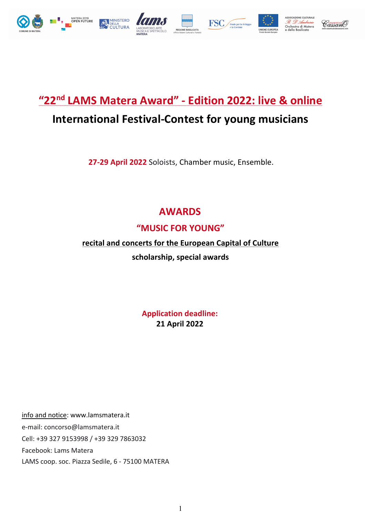

# **"22nd LAMS Matera Award" - Edition 2022: live & online**

# **International Festival-Contest for young musicians**

**27-29 April 2022** Soloists, Chamber music, Ensemble.

# **AWARDS**

# **"MUSIC FOR YOUNG"**

# **recital and concerts for the European Capital of Culture**

**scholarship, special awards**

**Application deadline: 21 April 2022**

info and notice: www.lamsmatera.it e-mail: concorso@lamsmatera.it Cell: +39 327 9153998 / +39 329 7863032 Facebook: Lams Matera LAMS coop. soc. Piazza Sedile, 6 - 75100 MATERA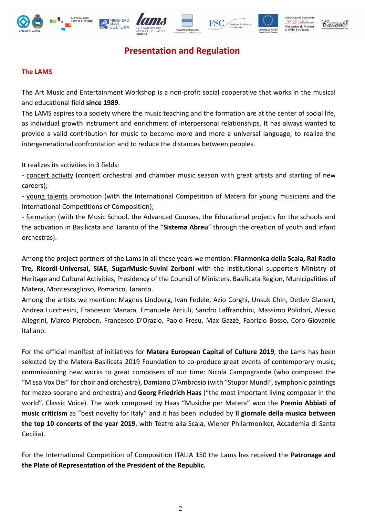













# **Presentation and Regulation**

# **The LAMS**

The Art Music and Entertainment Workshop is a non-profit social cooperative that works in the musical and educational field **since 1989**.

The LAMS aspires to a society where the music teaching and the formation are at the center of social life, as individual growth instrument and enrichment of interpersonal relationships. It has always wanted to provide a valid contribution for music to become more and more a universal language, to realize the intergenerational confrontation and to reduce the distances between peoples.

It realizes its activities in 3 fields:

- concert activity (concert orchestral and chamber music season with great artists and starting of new careers);

- young talents promotion (with the International Competition of Matera for young musicians and the International Competitions of Composition);

- formation (with the Music School, the Advanced Courses, the Educational projects for the schools and the activation in Basilicata and Taranto of the "**Sistema Abreu**" through the creation of youth and infant orchestras).

Among the project partners of the Lams in all these years we mention: **Filarmonica della Scala, Rai Radio Tre, Ricordi-Universal, SIAE**, **SugarMusic-Suvini Zerboni** with the institutional supporters Ministry of Heritage and Cultural Activities, Presidency of the Council of Ministers, Basilicata Region, Municipalities of Matera, Montescaglioso, Pomarico, Taranto.

Among the artists we mention: Magnus Lindberg, Ivan Fedele, Azio Corghi, Unsuk Chin, Detlev Glanert, Andrea Lucchesini, Francesco Manara, Emanuele Arciuli, Sandro Laffranchini, Massimo Polidori, Alessio Allegrini, Marco Pierobon, Francesco D'Orazio, Paolo Fresu, Max Gazzè, Fabrizio Bosso, Coro Giovanile Italiano.

For the official manifest of initiatives for **Matera European Capital of Culture 2019**, the Lams has been selected by the Matera-Basilicata 2019 Foundation to co-produce great events of contemporary music, commissioning new works to great composers of our time: Nicola Campogrande (who composed the "Missa Vox Dei" for choir and orchestra), Damiano D'Ambrosio (with "Stupor Mundi", symphonic paintings for mezzo-soprano and orchestra) and **Georg Friedrich Haas** ("the most important living composer in the world", Classic Voice). The work composed by Haas "Musiche per Matera" won the **Premio Abbiati of music criticism** as "best novelty for Italy" and it has been included by **Il giornale della musica between the top 10 concerts of the year 2019**, with Teatro alla Scala, Wiener Philarmoniker, Accademia di Santa Cecilia).

For the International Competition of Composition ITALIA 150 the Lams has received the **Patronage and the Plate of Representation of the President of the Republic.**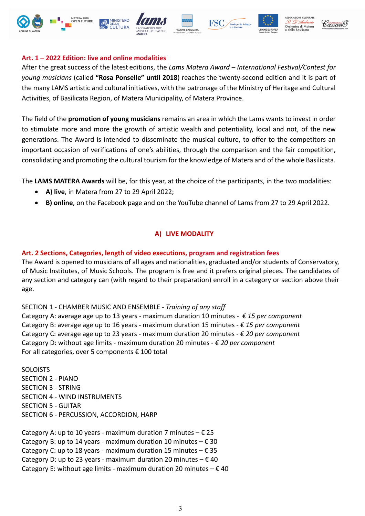











### **Art. 1 – 2022 Edition: live and online modalities**

After the great success of the latest editions, the *Lams Matera Award – International Festival/Contest for young musicians* (called **"Rosa Ponselle" until 2018**) reaches the twenty-second edition and it is part of the many LAMS artistic and cultural initiatives, with the patronage of the Ministry of Heritage and Cultural Activities, of Basilicata Region, of Matera Municipality, of Matera Province.

The field of the **promotion of young musicians** remains an area in which the Lams wants to invest in order to stimulate more and more the growth of artistic wealth and potentiality, local and not, of the new generations. The Award is intended to disseminate the musical culture, to offer to the competitors an important occasion of verifications of one's abilities, through the comparison and the fair competition, consolidating and promoting the cultural tourism for the knowledge of Matera and of the whole Basilicata.

The **LAMS MATERA Awards** will be, for this year, at the choice of the participants, in the two modalities:

- **A) live**, in Matera from 27 to 29 April 2022;
- **B) online**, on the Facebook page and on the YouTube channel of Lams from 27 to 29 April 2022.

# **A) LIVE MODALITY**

## **Art. 2 Sections, Categories, length of video executions, program and registration fees**

The Award is opened to musicians of all ages and nationalities, graduated and/or students of Conservatory, of Music Institutes, of Music Schools. The program is free and it prefers original pieces. The candidates of any section and category can (with regard to their preparation) enroll in a category or section above their age.

SECTION 1 - CHAMBER MUSIC AND ENSEMBLE - *Training of any staff* Category A: average age up to 13 years - maximum duration 10 minutes - *€ 15 per component*

Category B: average age up to 16 years - maximum duration 15 minutes - *€ 15 per component* Category C: average age up to 23 years - maximum duration 20 minutes - *€ 20 per component* Category D: without age limits - maximum duration 20 minutes - *€ 20 per component* For all categories, over 5 components  $\epsilon$  100 total

**SOLOISTS** SECTION 2 - PIANO SECTION 3 - STRING SECTION 4 - WIND INSTRUMENTS SECTION 5 - GUITAR SECTION 6 - PERCUSSION, ACCORDION, HARP

Category A: up to 10 years - maximum duration 7 minutes  $- \epsilon$ Category B: up to 14 years - maximum duration 10 minutes  $- \epsilon$ Category C: up to 18 years - maximum duration 15 minutes  $- \epsilon$ Category D: up to 23 years - maximum duration 20 minutes  $- \epsilon$ Category E: without age limits - maximum duration 20 minutes  $- \epsilon$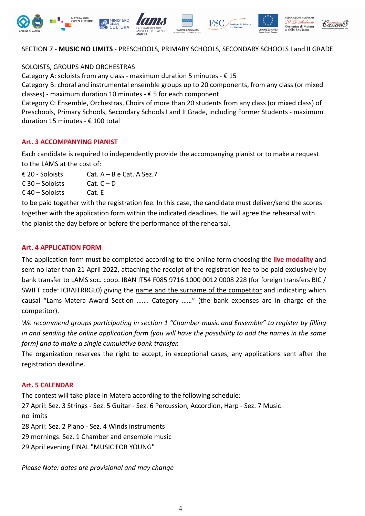

#### SECTION 7 - **MUSIC NO LIMITS** - PRESCHOOLS, PRIMARY SCHOOLS, SECONDARY SCHOOLS I and II GRADE

SOLOISTS, GROUPS AND ORCHESTRAS

Category A: soloists from any class - maximum duration 5 minutes -  $\epsilon$  15

Category B: choral and instrumental ensemble groups up to 20 components, from any class (or mixed classes) - maximum duration 10 minutes -  $\epsilon$  5 for each component

Category C: Ensemble, Orchestras, Choirs of more than 20 students from any class (or mixed class) of Preschools, Primary Schools, Secondary Schools I and II Grade, including Former Students - maximum duration 15 minutes - € 100 total

#### **Art. 3 ACCOMPANYING PIANIST**

Each candidate is required to independently provide the accompanying pianist or to make a request to the LAMS at the cost of:

 $£ 20 - Soloists$  Cat.  $A - B e$  Cat. A Sez.7

 $\epsilon$  30 – Soloists Cat. C – D

 $£ 40 - Soloists$  Cat. E

to be paid together with the registration fee. In this case, the candidate must deliver/send the scores together with the application form within the indicated deadlines. He will agree the rehearsal with the pianist the day before or before the performance of the rehearsal.

#### **Art. 4 APPLICATION FORM**

The application form must be completed according to the online form choosing the **live modality** and sent no later than 21 April 2022, attaching the receipt of the registration fee to be paid exclusively by bank transfer to LAMS soc. coop. IBAN IT54 F085 9716 1000 0012 0008 228 (for foreign transfers BIC / SWIFT code: ICRAITRRGL0) giving the name and the surname of the competitor and indicating which causal "Lams-Matera Award Section ……. Category ……" (the bank expenses are in charge of the competitor).

*We recommend groups participating in section 1 "Chamber music and Ensemble" to register by filling in and sending the online application form (you will have the possibility to add the names in the same form) and to make a single cumulative bank transfer.*

The organization reserves the right to accept, in exceptional cases, any applications sent after the registration deadline.

#### **Art. 5 CALENDAR**

The contest will take place in Matera according to the following schedule: 27 April: Sez. 3 Strings - Sez. 5 Guitar - Sez. 6 Percussion, Accordion, Harp - Sez. 7 Music no limits

28 April: Sez. 2 Piano - Sez. 4 Winds instruments

29 mornings: Sez. 1 Chamber and ensemble music

29 April evening FINAL "MUSIC FOR YOUNG"

*Please Note: dates are provisional and may change*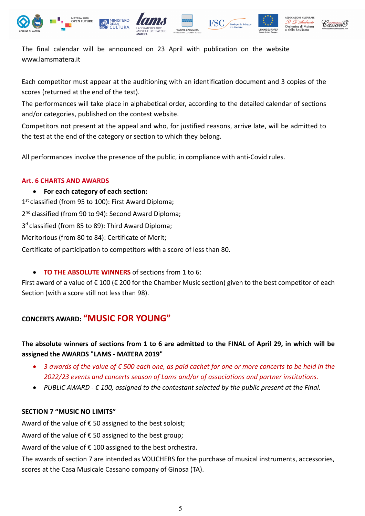







The final calendar will be announced on 23 April with publication on the website www.lamsmatera.it

Each competitor must appear at the auditioning with an identification document and 3 copies of the scores (returned at the end of the test).

The performances will take place in alphabetical order, according to the detailed calendar of sections and/or categories, published on the contest website.

Competitors not present at the appeal and who, for justified reasons, arrive late, will be admitted to the test at the end of the category or section to which they belong.

All performances involve the presence of the public, in compliance with anti-Covid rules.

## **Art. 6 CHARTS AND AWARDS**

• **For each category of each section:** 1<sup>st</sup> classified (from 95 to 100): First Award Diploma; 2<sup>nd</sup> classified (from 90 to 94): Second Award Diploma; 3<sup>d</sup> classified (from 85 to 89): Third Award Diploma: Meritorious (from 80 to 84): Certificate of Merit; Certificate of participation to competitors with a score of less than 80.

• **TO THE ABSOLUTE WINNERS** of sections from 1 to 6:

First award of a value of  $\epsilon$  100 ( $\epsilon$  200 for the Chamber Music section) given to the best competitor of each Section (with a score still not less than 98).

# **CONCERTS AWARD: "MUSIC FOR YOUNG"**

# **The absolute winners of sections from 1 to 6 are admitted to the FINAL of April 29, in which will be assigned the AWARDS "LAMS - MATERA 2019"**

- *3 awards of the value of € 500 each one, as paid cachet for one or more concerts to be held in the 2022/23 events and concerts season of Lams and/or of associations and partner institutions.*
- *PUBLIC AWARD - € 100, assigned to the contestant selected by the public present at the Final.*

## **SECTION 7 "MUSIC NO LIMITS"**

Award of the value of  $\epsilon$  50 assigned to the best soloist;

Award of the value of  $\epsilon$  50 assigned to the best group;

Award of the value of  $\epsilon$  100 assigned to the best orchestra.

The awards of section 7 are intended as VOUCHERS for the purchase of musical instruments, accessories, scores at the Casa Musicale Cassano company of Ginosa (TA).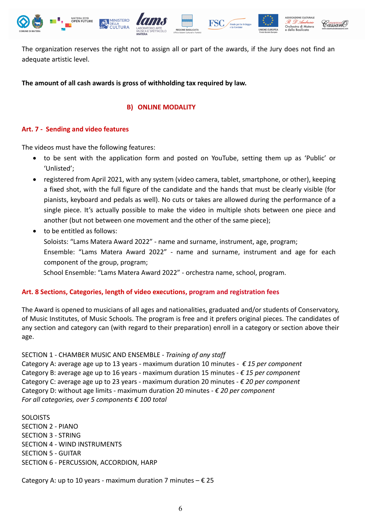

The organization reserves the right not to assign all or part of the awards, if the Jury does not find an adequate artistic level.

#### **The amount of all cash awards is gross of withholding tax required by law.**

#### **B) ONLINE MODALITY**

#### **Art. 7 - Sending and video features**

The videos must have the following features:

- to be sent with the application form and posted on YouTube, setting them up as 'Public' or 'Unlisted';
- registered from April 2021, with any system (video camera, tablet, smartphone, or other), keeping a fixed shot, with the full figure of the candidate and the hands that must be clearly visible (for pianists, keyboard and pedals as well). No cuts or takes are allowed during the performance of a single piece. It's actually possible to make the video in multiple shots between one piece and another (but not between one movement and the other of the same piece);
- to be entitled as follows: Soloists: "Lams Matera Award 2022" - name and surname, instrument, age, program; Ensemble: "Lams Matera Award 2022" - name and surname, instrument and age for each component of the group, program; School Ensemble: "Lams Matera Award 2022" - orchestra name, school, program.

#### **Art. 8 Sections, Categories, length of video executions, program and registration fees**

The Award is opened to musicians of all ages and nationalities, graduated and/or students of Conservatory, of Music Institutes, of Music Schools. The program is free and it prefers original pieces. The candidates of any section and category can (with regard to their preparation) enroll in a category or section above their age.

#### SECTION 1 - CHAMBER MUSIC AND ENSEMBLE - *Training of any staff*

Category A: average age up to 13 years - maximum duration 10 minutes - *€ 15 per component* Category B: average age up to 16 years - maximum duration 15 minutes - *€ 15 per component* Category C: average age up to 23 years - maximum duration 20 minutes - *€ 20 per component* Category D: without age limits - maximum duration 20 minutes - *€ 20 per component For all categories, over 5 components € 100 total*

**SOLOISTS** SECTION 2 - PIANO SECTION 3 - STRING SECTION 4 - WIND INSTRUMENTS SECTION 5 - GUITAR SECTION 6 - PERCUSSION, ACCORDION, HARP

Category A: up to 10 years - maximum duration 7 minutes  $- \epsilon$  25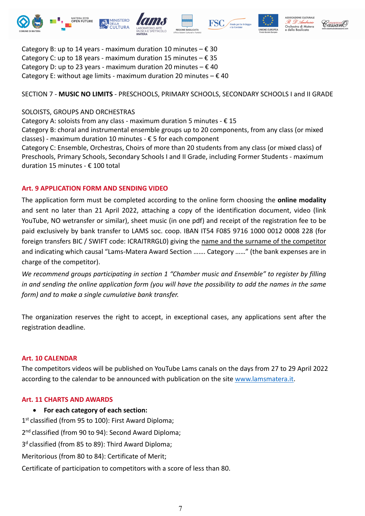











Category B: up to 14 years - maximum duration 10 minutes  $-\epsilon$ Category C: up to 18 years - maximum duration 15 minutes  $- \epsilon$ Category D: up to 23 years - maximum duration 20 minutes  $- \epsilon$ Category E: without age limits - maximum duration 20 minutes  $- \epsilon$ 

# SECTION 7 - **MUSIC NO LIMITS** - PRESCHOOLS, PRIMARY SCHOOLS, SECONDARY SCHOOLS I and II GRADE

# SOLOISTS, GROUPS AND ORCHESTRAS

Category A: soloists from any class - maximum duration 5 minutes -  $\epsilon$  15

Category B: choral and instrumental ensemble groups up to 20 components, from any class (or mixed classes) - maximum duration 10 minutes -  $\epsilon$  5 for each component

Category C: Ensemble, Orchestras, Choirs of more than 20 students from any class (or mixed class) of Preschools, Primary Schools, Secondary Schools I and II Grade, including Former Students - maximum duration 15 minutes - € 100 total

# **Art. 9 APPLICATION FORM AND SENDING VIDEO**

The application form must be completed according to the online form choosing the **online modality** and sent no later than 21 April 2022, attaching a copy of the identification document, video (link YouTube, NO wetransfer or similar), sheet music (in one pdf) and receipt of the registration fee to be paid exclusively by bank transfer to LAMS soc. coop. IBAN IT54 F085 9716 1000 0012 0008 228 (for foreign transfers BIC / SWIFT code: ICRAITRRGL0) giving the name and the surname of the competitor and indicating which causal "Lams-Matera Award Section ……. Category ……" (the bank expenses are in charge of the competitor).

*We recommend groups participating in section 1 "Chamber music and Ensemble" to register by filling in and sending the online application form (you will have the possibility to add the names in the same form) and to make a single cumulative bank transfer.*

The organization reserves the right to accept, in exceptional cases, any applications sent after the registration deadline.

## **Art. 10 CALENDAR**

The competitors videos will be published on YouTube Lams canals on the days from 27 to 29 April 2022 according to the calendar to be announced with publication on the site www.lamsmatera.it.

## **Art. 11 CHARTS AND AWARDS**

• **For each category of each section:**

1<sup>st</sup> classified (from 95 to 100): First Award Diploma;

2<sup>nd</sup> classified (from 90 to 94): Second Award Diploma;

3<sup>d</sup> classified (from 85 to 89): Third Award Diploma;

Meritorious (from 80 to 84): Certificate of Merit;

Certificate of participation to competitors with a score of less than 80.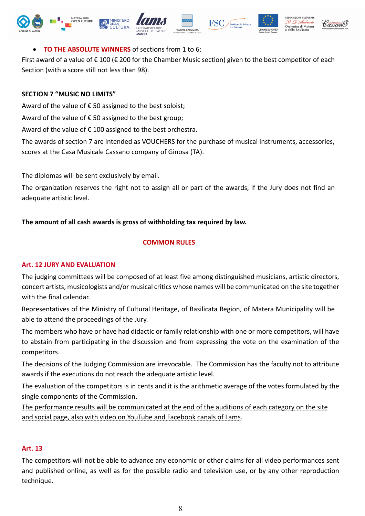









# • **TO THE ABSOLUTE WINNERS** of sections from 1 to 6:

First award of a value of  $\epsilon$  100 ( $\epsilon$  200 for the Chamber Music section) given to the best competitor of each Section (with a score still not less than 98).

#### **SECTION 7 "MUSIC NO LIMITS"**

Award of the value of  $\epsilon$  50 assigned to the best soloist;

Award of the value of  $\epsilon$  50 assigned to the best group;

Award of the value of  $\epsilon$  100 assigned to the best orchestra.

The awards of section 7 are intended as VOUCHERS for the purchase of musical instruments, accessories, scores at the Casa Musicale Cassano company of Ginosa (TA).

The diplomas will be sent exclusively by email.

The organization reserves the right not to assign all or part of the awards, if the Jury does not find an adequate artistic level.

## **The amount of all cash awards is gross of withholding tax required by law.**

#### **COMMON RULES**

## **Art. 12 JURY AND EVALUATION**

The judging committees will be composed of at least five among distinguished musicians, artistic directors, concert artists, musicologists and/or musical critics whose names will be communicated on the site together with the final calendar.

Representatives of the Ministry of Cultural Heritage, of Basilicata Region, of Matera Municipality will be able to attend the proceedings of the Jury.

The members who have or have had didactic or family relationship with one or more competitors, will have to abstain from participating in the discussion and from expressing the vote on the examination of the competitors.

The decisions of the Judging Commission are irrevocable. The Commission has the faculty not to attribute awards if the executions do not reach the adequate artistic level.

The evaluation of the competitors is in cents and it is the arithmetic average of the votes formulated by the single components of the Commission.

The performance results will be communicated at the end of the auditions of each category on the site and social page, also with video on YouTube and Facebook canals of Lams.

#### **Art. 13**

The competitors will not be able to advance any economic or other claims for all video performances sent and published online, as well as for the possible radio and television use, or by any other reproduction technique.